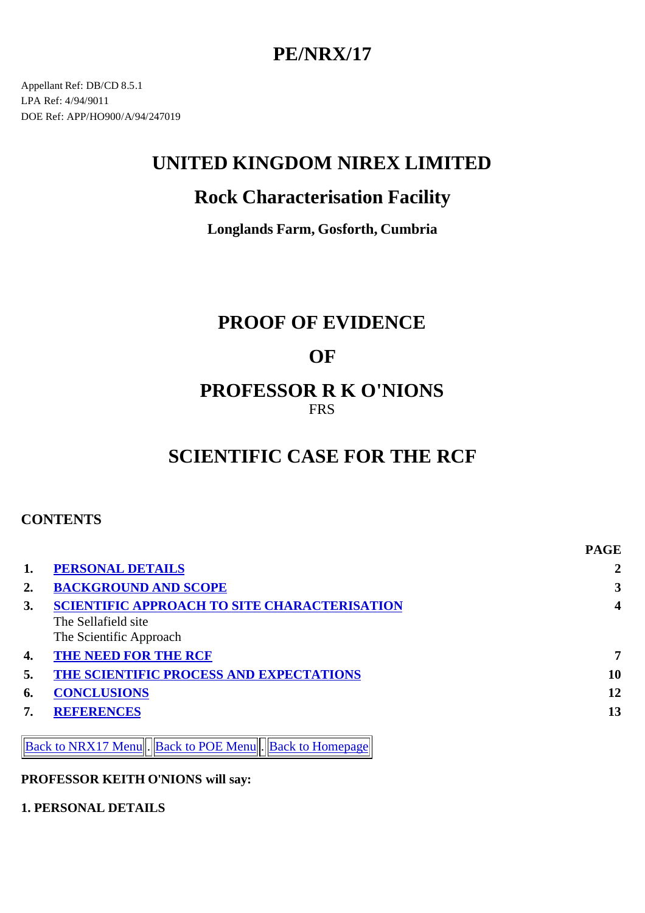# **PE/NRX/17**

Appellant Ref: DB/CD 8.5.1 LPA Ref: 4/94/9011 DOE Ref: APP/HO900/A/94/247019

# **UNITED KINGDOM NIREX LIMITED**

# **Rock Characterisation Facility**

**Longlands Farm, Gosforth, Cumbria**

## **PROOF OF EVIDENCE**

## **OF**

## **PROFESSOR R K O'NIONS** FRS

# **SCIENTIFIC CASE FOR THE RCF**

### **CONTENTS**

|    |                                                               | <b>PAGE</b> |
|----|---------------------------------------------------------------|-------------|
|    | <b>PERSONAL DETAILS</b>                                       |             |
| 2. | <b>BACKGROUND AND SCOPE</b>                                   | 3           |
| 3. | <b>SCIENTIFIC APPROACH TO SITE CHARACTERISATION</b>           | 4           |
|    | The Sellafield site                                           |             |
|    | The Scientific Approach                                       |             |
| 4. | <b>THE NEED FOR THE RCF</b>                                   | 7           |
| 5. | THE SCIENTIFIC PROCESS AND EXPECTATIONS                       | 10          |
| 6. | <b>CONCLUSIONS</b>                                            | 12          |
| 7. | <b>REFERENCES</b>                                             | 13          |
|    |                                                               |             |
|    | <b>Back to NRX17 Menu Back to POE Menu   Back to Homepage</b> |             |

#### **PROFESSOR KEITH O'NIONS will say:**

#### **1. PERSONAL DETAILS**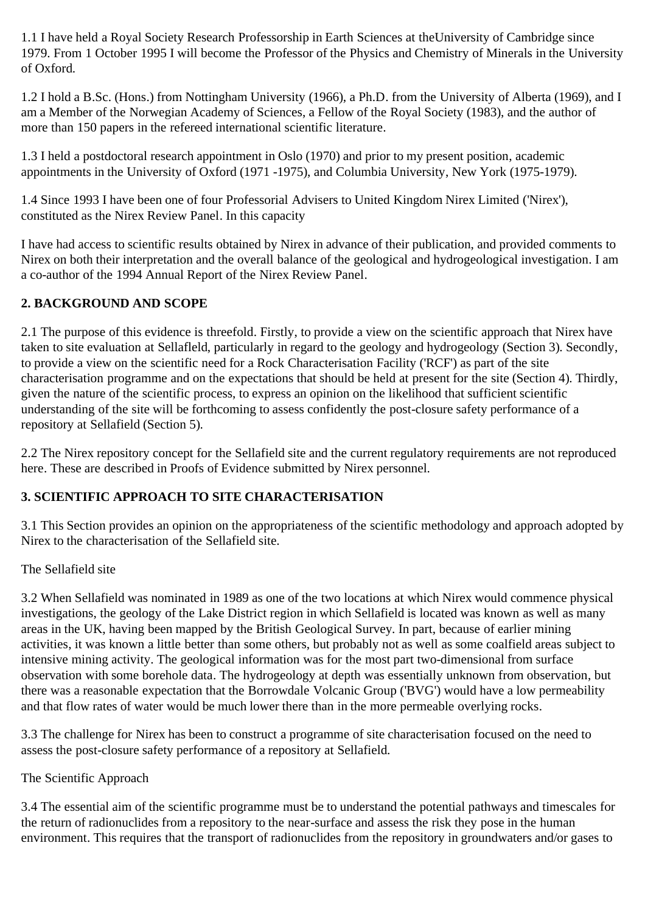1.1 I have held a Royal Society Research Professorship in Earth Sciences at theUniversity of Cambridge since 1979. From 1 October 1995 I will become the Professor of the Physics and Chemistry of Minerals in the University of Oxford.

1.2 I hold a B.Sc. (Hons.) from Nottingham University (1966), a Ph.D. from the University of Alberta (1969), and I am a Member of the Norwegian Academy of Sciences, a Fellow of the Royal Society (1983), and the author of more than 150 papers in the refereed international scientific literature.

1.3 I held a postdoctoral research appointment in Oslo (1970) and prior to my present position, academic appointments in the University of Oxford (1971 -1975), and Columbia University, New York (1975-1979).

1.4 Since 1993 I have been one of four Professorial Advisers to United Kingdom Nirex Limited ('Nirex'), constituted as the Nirex Review Panel. In this capacity

I have had access to scientific results obtained by Nirex in advance of their publication, and provided comments to Nirex on both their interpretation and the overall balance of the geological and hydrogeological investigation. I am a co-author of the 1994 Annual Report of the Nirex Review Panel.

### **2. BACKGROUND AND SCOPE**

2.1 The purpose of this evidence is threefold. Firstly, to provide a view on the scientific approach that Nirex have taken to site evaluation at Sellafleld, particularly in regard to the geology and hydrogeology (Section 3). Secondly, to provide a view on the scientific need for a Rock Characterisation Facility ('RCF') as part of the site characterisation programme and on the expectations that should be held at present for the site (Section 4). Thirdly, given the nature of the scientific process, to express an opinion on the likelihood that sufficient scientific understanding of the site will be forthcoming to assess confidently the post-closure safety performance of a repository at Sellafield (Section 5).

2.2 The Nirex repository concept for the Sellafield site and the current regulatory requirements are not reproduced here. These are described in Proofs of Evidence submitted by Nirex personnel.

### **3. SCIENTIFIC APPROACH TO SITE CHARACTERISATION**

3.1 This Section provides an opinion on the appropriateness of the scientific methodology and approach adopted by Nirex to the characterisation of the Sellafield site.

### The Sellafield site

3.2 When Sellafield was nominated in 1989 as one of the two locations at which Nirex would commence physical investigations, the geology of the Lake District region in which Sellafield is located was known as well as many areas in the UK, having been mapped by the British Geological Survey. In part, because of earlier mining activities, it was known a little better than some others, but probably not as well as some coalfield areas subject to intensive mining activity. The geological information was for the most part two-dimensional from surface observation with some borehole data. The hydrogeology at depth was essentially unknown from observation, but there was a reasonable expectation that the Borrowdale Volcanic Group ('BVG') would have a low permeability and that flow rates of water would be much lower there than in the more permeable overlying rocks.

3.3 The challenge for Nirex has been to construct a programme of site characterisation focused on the need to assess the post-closure safety performance of a repository at Sellafield.

### The Scientific Approach

3.4 The essential aim of the scientific programme must be to understand the potential pathways and timescales for the return of radionuclides from a repository to the near-surface and assess the risk they pose in the human environment. This requires that the transport of radionuclides from the repository in groundwaters and/or gases to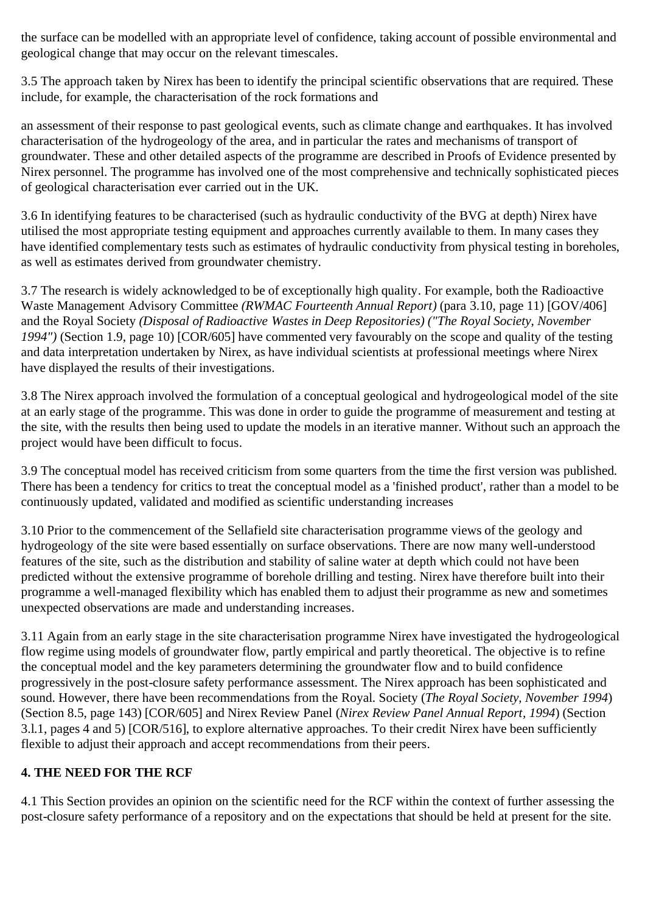the surface can be modelled with an appropriate level of confidence, taking account of possible environmental and geological change that may occur on the relevant timescales.

3.5 The approach taken by Nirex has been to identify the principal scientific observations that are required. These include, for example, the characterisation of the rock formations and

an assessment of their response to past geological events, such as climate change and earthquakes. It has involved characterisation of the hydrogeology of the area, and in particular the rates and mechanisms of transport of groundwater. These and other detailed aspects of the programme are described in Proofs of Evidence presented by Nirex personnel. The programme has involved one of the most comprehensive and technically sophisticated pieces of geological characterisation ever carried out in the UK.

3.6 In identifying features to be characterised (such as hydraulic conductivity of the BVG at depth) Nirex have utilised the most appropriate testing equipment and approaches currently available to them. In many cases they have identified complementary tests such as estimates of hydraulic conductivity from physical testing in boreholes, as well as estimates derived from groundwater chemistry.

3.7 The research is widely acknowledged to be of exceptionally high quality. For example, both the Radioactive Waste Management Advisory Committee *(RWMAC Fourteenth Annual Report)* (para 3.10, page 11) [GOV/406] and the Royal Society *(Disposal of Radioactive Wastes in Deep Repositories) ("The Royal Society, November 1994")* (Section 1.9, page 10) [COR/605] have commented very favourably on the scope and quality of the testing and data interpretation undertaken by Nirex, as have individual scientists at professional meetings where Nirex have displayed the results of their investigations.

3.8 The Nirex approach involved the formulation of a conceptual geological and hydrogeological model of the site at an early stage of the programme. This was done in order to guide the programme of measurement and testing at the site, with the results then being used to update the models in an iterative manner. Without such an approach the project would have been difficult to focus.

3.9 The conceptual model has received criticism from some quarters from the time the first version was published. There has been a tendency for critics to treat the conceptual model as a 'finished product', rather than a model to be continuously updated, validated and modified as scientific understanding increases

3.10 Prior to the commencement of the Sellafield site characterisation programme views of the geology and hydrogeology of the site were based essentially on surface observations. There are now many well-understood features of the site, such as the distribution and stability of saline water at depth which could not have been predicted without the extensive programme of borehole drilling and testing. Nirex have therefore built into their programme a well-managed flexibility which has enabled them to adjust their programme as new and sometimes unexpected observations are made and understanding increases.

3.11 Again from an early stage in the site characterisation programme Nirex have investigated the hydrogeological flow regime using models of groundwater flow, partly empirical and partly theoretical. The objective is to refine the conceptual model and the key parameters determining the groundwater flow and to build confidence progressively in the post-closure safety performance assessment. The Nirex approach has been sophisticated and sound. However, there have been recommendations from the Royal. Society (*The Royal Society, November 1994*) (Section 8.5, page 143) [COR/605] and Nirex Review Panel (*Nirex Review Panel Annual Report, 1994*) (Section 3.l.1, pages 4 and 5) [COR/516], to explore alternative approaches. To their credit Nirex have been sufficiently flexible to adjust their approach and accept recommendations from their peers.

### **4. THE NEED FOR THE RCF**

4.1 This Section provides an opinion on the scientific need for the RCF within the context of further assessing the post-closure safety performance of a repository and on the expectations that should be held at present for the site.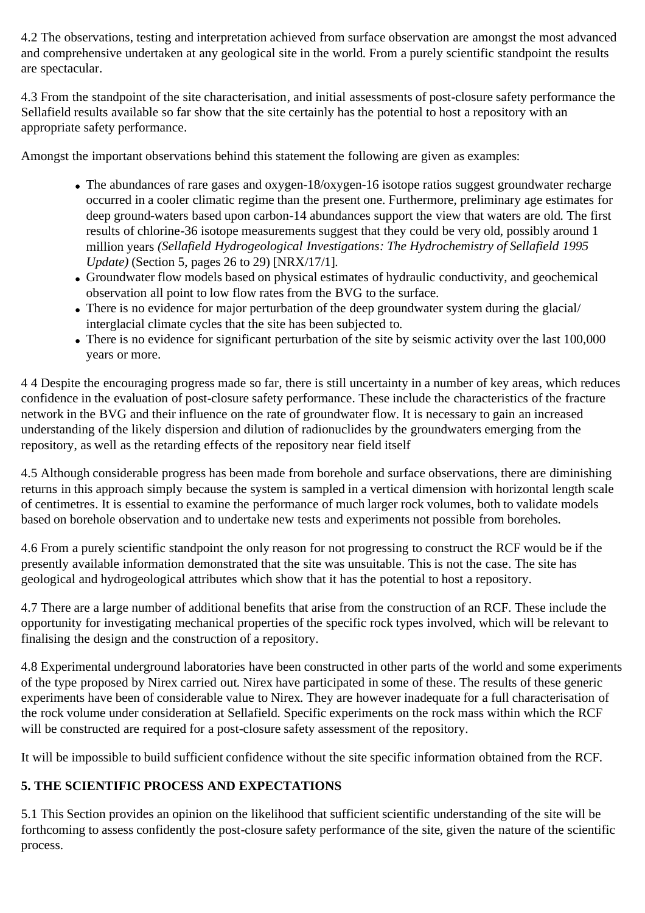4.2 The observations, testing and interpretation achieved from surface observation are amongst the most advanced and comprehensive undertaken at any geological site in the world. From a purely scientific standpoint the results are spectacular.

4.3 From the standpoint of the site characterisation, and initial assessments of post-closure safety performance the Sellafield results available so far show that the site certainly has the potential to host a repository with an appropriate safety performance.

Amongst the important observations behind this statement the following are given as examples:

- The abundances of rare gases and oxygen-18/oxygen-16 isotope ratios suggest groundwater recharge occurred in a cooler climatic regime than the present one. Furthermore, preliminary age estimates for deep ground-waters based upon carbon-14 abundances support the view that waters are old. The first results of chlorine-36 isotope measurements suggest that they could be very old, possibly around 1 million years *(Sellafield Hydrogeological Investigations: The Hydrochemistry of Sellafield 1995 Update)* (Section 5, pages 26 to 29) [NRX/17/1].
- Groundwater flow models based on physical estimates of hydraulic conductivity, and geochemical observation all point to low flow rates from the BVG to the surface.
- There is no evidence for major perturbation of the deep groundwater system during the glacial/ interglacial climate cycles that the site has been subjected to.
- There is no evidence for significant perturbation of the site by seismic activity over the last 100,000 years or more.

4 4 Despite the encouraging progress made so far, there is still uncertainty in a number of key areas, which reduces confidence in the evaluation of post-closure safety performance. These include the characteristics of the fracture network in the BVG and their influence on the rate of groundwater flow. It is necessary to gain an increased understanding of the likely dispersion and dilution of radionuclides by the groundwaters emerging from the repository, as well as the retarding effects of the repository near field itself

4.5 Although considerable progress has been made from borehole and surface observations, there are diminishing returns in this approach simply because the system is sampled in a vertical dimension with horizontal length scale of centimetres. It is essential to examine the performance of much larger rock volumes, both to validate models based on borehole observation and to undertake new tests and experiments not possible from boreholes.

4.6 From a purely scientific standpoint the only reason for not progressing to construct the RCF would be if the presently available information demonstrated that the site was unsuitable. This is not the case. The site has geological and hydrogeological attributes which show that it has the potential to host a repository.

4.7 There are a large number of additional benefits that arise from the construction of an RCF. These include the opportunity for investigating mechanical properties of the specific rock types involved, which will be relevant to finalising the design and the construction of a repository.

4.8 Experimental underground laboratories have been constructed in other parts of the world and some experiments of the type proposed by Nirex carried out. Nirex have participated in some of these. The results of these generic experiments have been of considerable value to Nirex. They are however inadequate for a full characterisation of the rock volume under consideration at Sellafield. Specific experiments on the rock mass within which the RCF will be constructed are required for a post-closure safety assessment of the repository.

It will be impossible to build sufficient confidence without the site specific information obtained from the RCF.

### **5. THE SCIENTIFIC PROCESS AND EXPECTATIONS**

5.1 This Section provides an opinion on the likelihood that sufficient scientific understanding of the site will be forthcoming to assess confidently the post-closure safety performance of the site, given the nature of the scientific process.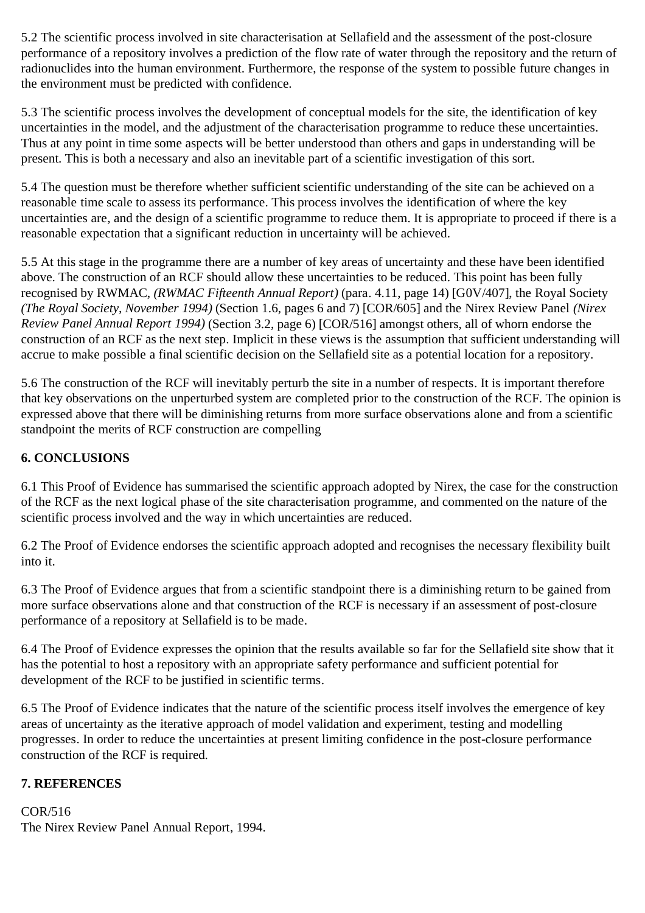5.2 The scientific process involved in site characterisation at Sellafield and the assessment of the post-closure performance of a repository involves a prediction of the flow rate of water through the repository and the return of radionuclides into the human environment. Furthermore, the response of the system to possible future changes in the environment must be predicted with confidence.

5.3 The scientific process involves the development of conceptual models for the site, the identification of key uncertainties in the model, and the adjustment of the characterisation programme to reduce these uncertainties. Thus at any point in time some aspects will be better understood than others and gaps in understanding will be present. This is both a necessary and also an inevitable part of a scientific investigation of this sort.

5.4 The question must be therefore whether sufficient scientific understanding of the site can be achieved on a reasonable time scale to assess its performance. This process involves the identification of where the key uncertainties are, and the design of a scientific programme to reduce them. It is appropriate to proceed if there is a reasonable expectation that a significant reduction in uncertainty will be achieved.

5.5 At this stage in the programme there are a number of key areas of uncertainty and these have been identified above. The construction of an RCF should allow these uncertainties to be reduced. This point has been fully recognised by RWMAC, *(RWMAC Fifteenth Annual Report)* (para. 4.11, page 14) [G0V/407], the Royal Society *(The Royal Society, November 1994)* (Section 1.6, pages 6 and 7) [COR/605] and the Nirex Review Panel *(Nirex Review Panel Annual Report 1994)* (Section 3.2, page 6) [COR/516] amongst others, all of whorn endorse the construction of an RCF as the next step. Implicit in these views is the assumption that sufficient understanding will accrue to make possible a final scientific decision on the Sellafield site as a potential location for a repository.

5.6 The construction of the RCF will inevitably perturb the site in a number of respects. It is important therefore that key observations on the unperturbed system are completed prior to the construction of the RCF. The opinion is expressed above that there will be diminishing returns from more surface observations alone and from a scientific standpoint the merits of RCF construction are compelling

#### **6. CONCLUSIONS**

6.1 This Proof of Evidence has summarised the scientific approach adopted by Nirex, the case for the construction of the RCF as the next logical phase of the site characterisation programme, and commented on the nature of the scientific process involved and the way in which uncertainties are reduced.

6.2 The Proof of Evidence endorses the scientific approach adopted and recognises the necessary flexibility built into it.

6.3 The Proof of Evidence argues that from a scientific standpoint there is a diminishing return to be gained from more surface observations alone and that construction of the RCF is necessary if an assessment of post-closure performance of a repository at Sellafield is to be made.

6.4 The Proof of Evidence expresses the opinion that the results available so far for the Sellafield site show that it has the potential to host a repository with an appropriate safety performance and sufficient potential for development of the RCF to be justified in scientific terms.

6.5 The Proof of Evidence indicates that the nature of the scientific process itself involves the emergence of key areas of uncertainty as the iterative approach of model validation and experiment, testing and modelling progresses. In order to reduce the uncertainties at present limiting confidence in the post-closure performance construction of the RCF is required.

#### **7. REFERENCES**

COR/516 The Nirex Review Panel Annual Report, 1994.